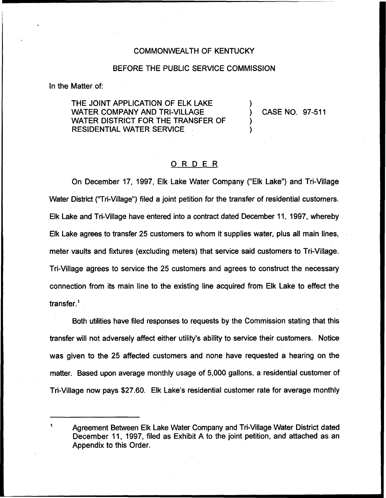### COMMONWEALTH OF KENTUCKY

### BEFORE THE PUBLIC SERVICE COMMISSION

In the Matter of:

THE JOINT APPLICATION OF ELK LAKE WATER COMPANY AND TRI-VILLAGE WATER DISTRICT FOR THE TRANSFER OF RESIDENTIAL WATER SERVICE

) CASE NO. 97-511

)

) )

## ORDER

On December 17, 1997, Elk Lake Water Company ("Elk Lake") and Tri-Village Water District ("Tri-Village") filed a joint petition for the transfer of residential customers Elk Lake and Tri-Village have entered into a contract dated December 11, 1997, whereby Elk Lake agrees to transfer 25 customers to whom it supplies water, plus all main lines, meter vaults and fixtures (excluding meters) that service said customers to Tri-Village. Tri-Village agrees to service the 25 customers and agrees to construct the necessary connection from its main line to the existing line acquired from Elk Lake to effect the transfer. $<sup>1</sup>$ </sup>

Both utilities have filed responses to requests by the Commission stating that this transfer will not adversely affect either utility's ability to service their customers. Notice was given to the 25 affected customers and none have requested a hearing on the matter. Based upon average monthly usage of 5,000 gallons, a residential customer of Tri-Village now pays \$27.60. Elk Lake's residential customer rate for average monthly

Agreement Between Elk Lake Water Company and Tri-Village Water District dated December 11, 1997, filed as Exhibit A to the joint petition, and attached as an Appendix to this Order.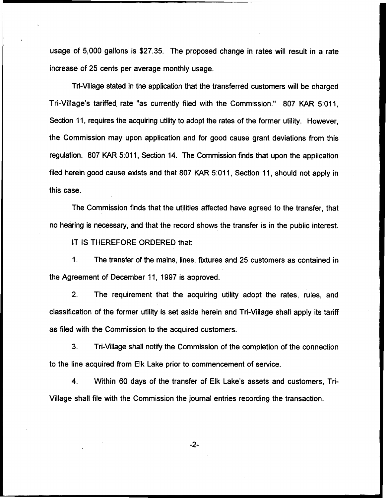usage of 5,000 gallons is \$27.35. The proposed change in rates will result in a rate increase of 25 cents per average monthly usage.

Tri-Village stated in the application that the transferred customers will be charged Tri-Village's tariffed. rate "as currently filed with the Commission." 807 KAR 5:011, Section 11, requires the acquiring utility to adopt the rates of the former utility. However, the Commission may upon application and for good cause grant deviations from this regulation. 807 KAR 5:011, Section 14. The Commission finds that upon the application filed herein good cause exists and that 807 KAR 5:011, Section 11, should not apply in this case.

The Commission finds that the utilities affected have agreed to the transfer, that no hearing is necessary, and that the record shows the transfer is in the public interest.

IT IS THEREFORE ORDERED that:

1. The transfer of the mains, lines, fixtures and 25 customers as contained in the Agreement of December 11, 1997 is approved.

2. The requirement that the acquiring utility adopt the rates, rules, and classification of the former utility is set aside herein and Tri-Village shall apply its tariff as filed with the Commission to the acquired customers.

3. Tri-Village shall notify the Commission of the completion of the connection to the line acquired from Elk Lake prior to commencement of service.

4. Within 60 days of the transfer of Elk Lake's assets and customers, Tri-Village shall file with the Commission the journal entries recording the transaction.

-2-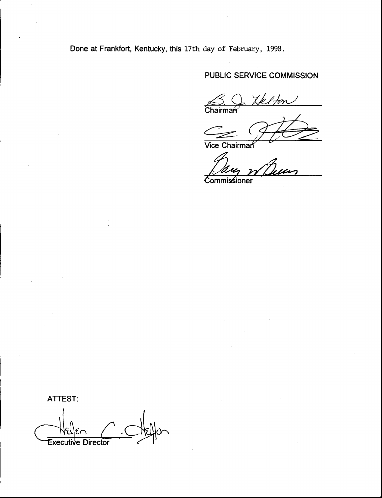Done at Frankfort, Kentucky, this 17th day of February, 1998.

PUBLIC SERVICE COMMISSION<br>
<u>S. Q. Yelfon</u><br>Chairman

Chairma

Commissioner

ATTEST: Executive Director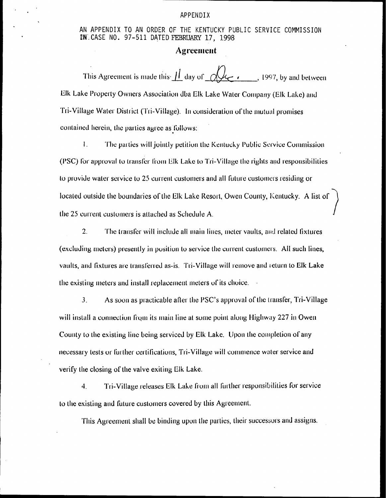#### APPENDIX

AN APPENDIX TO AN ORDER OF THE KENTUCKY PUBLIC SERVICE COMMISSION IN CASE NO. 97-511 DATED FEBRUARY 17, 1998

## **Agreement**

Elk Lake Property Owners Association dba Elk Lake Water Company (Elk Lake) and Tri-Village Water District (Tri-Village). In consideration of the mutual promises contained herein, the parties agree as follows:

 $\mathbf{I}$ . The parties will jointly petition the Kentucky Public Service Commission (PSC) for approval to transfer from Elk Lake to Tri-Village the rights and responsibilities to provide water service to 25 current customers and all future customers residing or located outside the boundaries of the Elk Lake Resort, Owen County, Kentucky. A list of the 25 current customers is attached as Schedule A.

 $2.$ The transfer will include all main lines, meter vaults, and related fixtures (excluding meters) presently in position to service the current customers. All such lines, vaults, and fixtures are transferred as-is. Tri-Village will remove and return to Elk Lake the existing meters and install replacement meters of its choice.

 $3<sub>1</sub>$ As soon as practicable after the PSC's approval of the transfer, Tri-Village will install a connection from its main line at some point along Highway 227 in Owen County to the existing line being serviced by Elk Lake. Upon the completion of any necessary tests or further certifications. Tri-Village will commence water service and verify the closing of the valve exiting Elk Lake.

 $\overline{4}$ . Tri-Village releases Elk Lake from all further responsibilities for service to the existing and future customers covered by this Agreement.

This Agreement shall be binding upon the parties, their successors and assigns.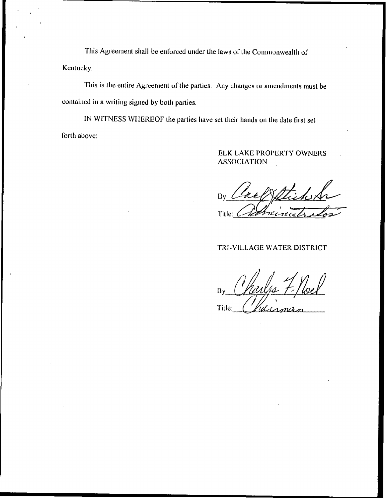This Agreement shall be enforced under the laws of the Commonwealth of Kentucky.

This is the entire Agreement of the parties. Any changes or amendments must be contained in a writing signed by both parties.

IN WITNESS WHEREOF the parties have set their hands on the date first set forth above:

## ELK LAKE PROPERTY OWNERS **ASSOCIATION**

 $Bv$ Title:

# TRI-VILLAGE WATER DISTRICT

 $\mathbf{B}$ Title: